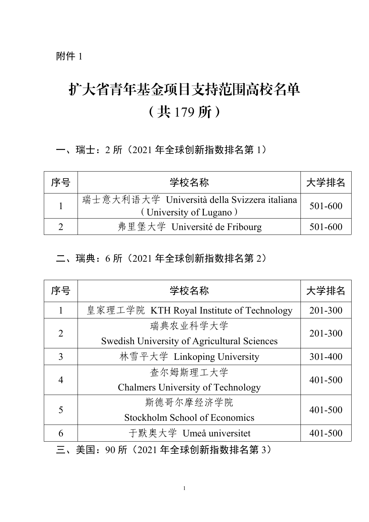附件 1

# 扩大省青年基金项目支持范围高校名单 (共 179 所)

一、瑞士:2 所(2021 年全球创新指数排名第 1)

| 序号 | 学校名称                                                                    | 大学排名    |
|----|-------------------------------------------------------------------------|---------|
|    | 瑞士意大利语大学 Università della Svizzera italiana  <br>(University of Lugano) | 501-600 |
|    | 弗里堡大学 Université de Fribourg                                            | 501-600 |

### 二、瑞典:6 所(2021 年全球创新指数排名第 2)

| 序号             | 学校名称                                        | 大学排名    |
|----------------|---------------------------------------------|---------|
|                | 皇家理工学院 KTH Royal Institute of Technology    | 201-300 |
| $\overline{2}$ | 瑞典农业科学大学                                    | 201-300 |
|                | Swedish University of Agricultural Sciences |         |
| 3              | 林雪平大学 Linkoping University                  | 301-400 |
|                | 查尔姆斯理工大学                                    |         |
| $\overline{4}$ | <b>Chalmers University of Technology</b>    | 401-500 |
| 5              | 斯德哥尔摩经济学院                                   |         |
|                | Stockholm School of Economics               | 401-500 |
| 6              | 于默奥大学 Umeå universitet                      | 401-500 |
|                |                                             |         |

三、美国:90 所(2021 年全球创新指数排名第 3)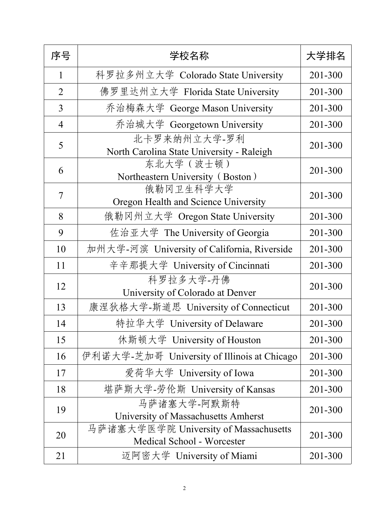| 序号             | 学校名称                                                                | 大学排名    |
|----------------|---------------------------------------------------------------------|---------|
| $\mathbf{1}$   | 科罗拉多州立大学 Colorado State University                                  | 201-300 |
| 2              | 佛罗里达州立大学 Florida State University                                   | 201-300 |
| 3              | 乔治梅森大学 George Mason University                                      | 201-300 |
| $\overline{4}$ | 乔治城大学 Georgetown University                                         | 201-300 |
| 5              | 北卡罗来纳州立大学-罗利<br>North Carolina State University - Raleigh           | 201-300 |
| 6              | 东北大学 (波士顿)<br>Northeastern University (Boston)                      | 201-300 |
| 7              | 俄勒冈卫生科学大学<br>Oregon Health and Science University                   | 201-300 |
| 8              | 俄勒冈州立大学 Oregon State University                                     | 201-300 |
| 9              | 佐治亚大学 The University of Georgia                                     | 201-300 |
| 10             | 加州大学-河滨 University of California, Riverside                         | 201-300 |
| 11             | 辛辛那提大学 University of Cincinnati                                     | 201-300 |
| 12             | 科罗拉多大学-丹佛<br>University of Colorado at Denver                       | 201-300 |
| 13             | 康涅狄格大学-斯道思 University of Connecticut                                | 201-300 |
| 14             | 特拉华大学 University of Delaware                                        | 201-300 |
| 15             | 休斯顿大学 University of Houston                                         | 201-300 |
| 16             | 伊利诺大学-芝加哥 University of Illinois at Chicago                         | 201-300 |
| 17             | 爱荷华大学 University of Iowa                                            | 201-300 |
| 18             | 堪萨斯大学-劳伦斯 University of Kansas                                      | 201-300 |
| 19             | 马萨诸塞大学-阿默斯特<br>University of Massachusetts Amherst                  | 201-300 |
| 20             | 马萨诸塞大学医学院 University of Massachusetts<br>Medical School - Worcester | 201-300 |
| 21             | 迈阿密大学 University of Miami                                           | 201-300 |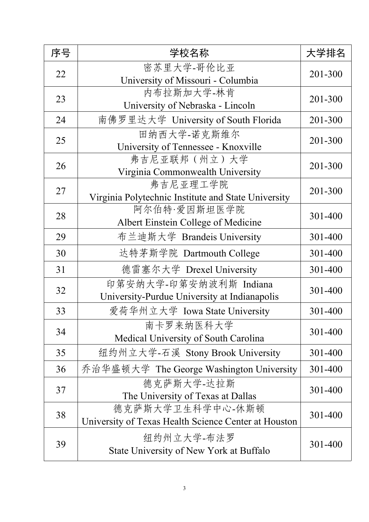| 序号 | 学校名称                                                                     | 大学排名    |
|----|--------------------------------------------------------------------------|---------|
| 22 | 密苏里大学-哥伦比亚<br>University of Missouri - Columbia                          | 201-300 |
| 23 | 内布拉斯加大学-林肯<br>University of Nebraska - Lincoln                           | 201-300 |
| 24 | 南佛罗里达大学 University of South Florida                                      | 201-300 |
| 25 | 田纳西大学-诺克斯维尔<br>University of Tennessee - Knoxville                       | 201-300 |
| 26 | 弗吉尼亚联邦(州立)大学<br>Virginia Commonwealth University                         | 201-300 |
| 27 | 弗吉尼亚理工学院<br>Virginia Polytechnic Institute and State University          | 201-300 |
| 28 | 阿尔伯特·爱因斯坦医学院<br>Albert Einstein College of Medicine                      | 301-400 |
| 29 | 布兰迪斯大学 Brandeis University                                               | 301-400 |
| 30 | 达特茅斯学院 Dartmouth College                                                 | 301-400 |
| 31 | 德雷塞尔大学 Drexel University                                                 | 301-400 |
| 32 | 印第安纳大学-印第安纳波利斯 Indiana<br>University-Purdue University at Indianapolis   | 301-400 |
| 33 | 爱荷华州立大学 Iowa State University                                            | 301-400 |
| 34 | 南卡罗来纳医科大学<br>Medical University of South Carolina                        | 301-400 |
| 35 | 纽约州立大学-石溪 Stony Brook University                                         | 301-400 |
| 36 | 乔治华盛顿大学 The George Washington University                                 | 301-400 |
| 37 | 德克萨斯大学-达拉斯<br>The University of Texas at Dallas                          | 301-400 |
| 38 | 德克萨斯大学卫生科学中心-休斯顿<br>University of Texas Health Science Center at Houston | 301-400 |
| 39 | 纽约州立大学-布法罗<br>State University of New York at Buffalo                    | 301-400 |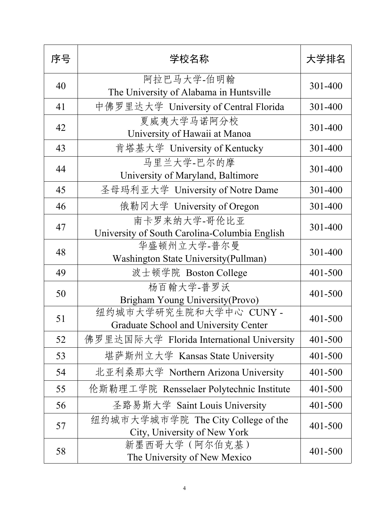| 序号 | 学校名称                                                                   | 大学排名    |
|----|------------------------------------------------------------------------|---------|
| 40 | 阿拉巴马大学-伯明翰<br>The University of Alabama in Huntsville                  | 301-400 |
| 41 | 中佛罗里达大学 University of Central Florida                                  | 301-400 |
| 42 | 夏威夷大学马诺阿分校<br>University of Hawaii at Manoa                            | 301-400 |
| 43 | 肯塔基大学 University of Kentucky                                           | 301-400 |
| 44 | 马里兰大学-巴尔的摩<br>University of Maryland, Baltimore                        | 301-400 |
| 45 | 圣母玛利亚大学 University of Notre Dame                                       | 301-400 |
| 46 | 俄勒冈大学 University of Oregon                                             | 301-400 |
| 47 | 南卡罗来纳大学-哥伦比亚<br>University of South Carolina-Columbia English          | 301-400 |
| 48 | 华盛顿州立大学-普尔曼<br>Washington State University(Pullman)                    | 301-400 |
| 49 | 波士顿学院 Boston College                                                   | 401-500 |
| 50 | 杨百翰大学-普罗沃<br>Brigham Young University (Provo)                          | 401-500 |
| 51 | 纽约城市大学研究生院和大学中心 CUNY -<br><b>Graduate School and University Center</b> | 401-500 |
| 52 | 佛罗里达国际大学 Florida International University                              | 401-500 |
| 53 | 堪萨斯州立大学 Kansas State University                                        | 401-500 |
| 54 | 北亚利桑那大学 Northern Arizona University                                    | 401-500 |
| 55 | 伦斯勒理工学院 Rensselaer Polytechnic Institute                               | 401-500 |
| 56 | 圣路易斯大学 Saint Louis University                                          | 401-500 |
| 57 | 纽约城市大学城市学院 The City College of the<br>City, University of New York     | 401-500 |
| 58 | 新墨西哥大学 (阿尔伯克基)<br>The University of New Mexico                         | 401-500 |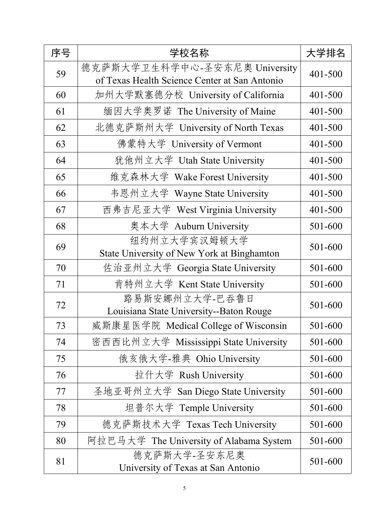| 序号 | 学校名称                                                                           | 大学排名    |
|----|--------------------------------------------------------------------------------|---------|
| 59 | 德克萨斯大学卫生科学中心-圣安东尼奥 University<br>of Texas Health Science Center at San Antonio | 401-500 |
| 60 | 加州大学默塞德分校 University of California                                             | 401-500 |
| 61 | 缅因大学奥罗诺 The University of Maine                                                | 401-500 |
| 62 | 北德克萨斯州大学 University of North Texas                                             | 401-500 |
| 63 | 佛蒙特大学 University of Vermont                                                    | 401-500 |
| 64 | 犹他州立大学 Utah State University                                                   | 401-500 |
| 65 | 维克森林大学 Wake Forest University                                                  | 401-500 |
| 66 | 韦恩州立大学 Wayne State University                                                  | 401-500 |
| 67 | 西弗吉尼亚大学 West Virginia University                                               | 401-500 |
| 68 | 奥本大学 Auburn University                                                         | 501-600 |
| 69 | 纽约州立大学宾汉姆顿大学<br>State University of New York at Binghamton                     | 501-600 |
| 70 | 佐治亚州立大学 Georgia State University                                               | 501-600 |
| 71 | 肯特州立大学 Kent State University                                                   | 501-600 |
| 72 | 路易斯安娜州立大学-巴吞鲁日<br>Louisiana State University--Baton Rouge                      | 501-600 |
| 73 | 威斯康星医学院 Medical College of Wisconsin                                           | 501-600 |
| 74 | 密西西比州立大学 Mississippi State University                                          | 501-600 |
| 75 | 俄亥俄大学-雅典 Ohio University                                                       | 501-600 |
| 76 | 拉什大学 Rush University                                                           | 501-600 |
| 77 | 圣地亚哥州立大学 San Diego State University                                            | 501-600 |
| 78 | 坦普尔大学 Temple University                                                        | 501-600 |
| 79 | 德克萨斯技术大学 Texas Tech University                                                 | 501-600 |
| 80 | 阿拉巴马大学 The University of Alabama System                                        | 501-600 |
| 81 | 德克萨斯大学-圣安东尼奥<br>University of Texas at San Antonio                             | 501-600 |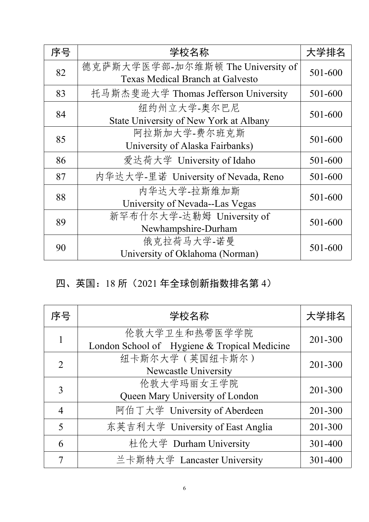| 序号 | 学校名称                                                                         | 大学排名    |
|----|------------------------------------------------------------------------------|---------|
| 82 | 德克萨斯大学医学部-加尔维斯顿 The University of<br><b>Texas Medical Branch at Galvesto</b> | 501-600 |
| 83 | 托马斯杰斐逊大学 Thomas Jefferson University                                         | 501-600 |
| 84 | 纽约州立大学-奥尔巴尼<br>State University of New York at Albany                        | 501-600 |
| 85 | 阿拉斯加大学-费尔班克斯<br>University of Alaska Fairbanks)                              | 501-600 |
| 86 | 爱达荷大学 University of Idaho                                                    | 501-600 |
| 87 | 内华达大学-里诺 University of Nevada, Reno                                          | 501-600 |
| 88 | 内华达大学-拉斯维加斯<br>University of Nevada--Las Vegas                               | 501-600 |
| 89 | 新罕布什尔大学-达勒姆 University of<br>Newhampshire-Durham                             | 501-600 |
| 90 | 俄克拉荷马大学-诺曼<br>University of Oklahoma (Norman)                                | 501-600 |

### 四、英国:18 所(2021 年全球创新指数排名第 4)

| 序号             | 学校名称                                                          | 大学排名        |
|----------------|---------------------------------------------------------------|-------------|
|                | 伦敦大学卫生和热带医学学院<br>London School of Hygiene & Tropical Medicine | 201-300     |
| $\overline{2}$ | 纽卡斯尔大学 (英国纽卡斯尔)<br>Newcastle University                       | 201-300     |
| 3              | 伦敦大学玛丽女王学院<br>Queen Mary University of London                 | $201 - 300$ |
| $\overline{4}$ | 阿伯丁大学 University of Aberdeen                                  | 201-300     |
| 5              | 东英吉利大学 University of East Anglia                              | 201-300     |
| 6              | 杜伦大学 Durham University                                        | 301-400     |
|                | 兰卡斯特大学 Lancaster University                                   | 301-400     |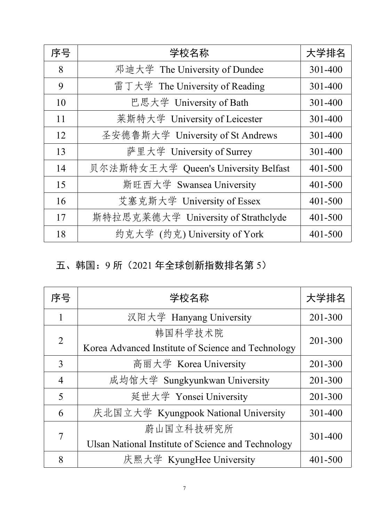| 序号 | 学校名称                                 | 大学排名    |
|----|--------------------------------------|---------|
| 8  | 邓迪大学 The University of Dundee        | 301-400 |
| 9  | 雷丁大学 The University of Reading       | 301-400 |
| 10 | 巴思大学 University of Bath              | 301-400 |
| 11 | 莱斯特大学 University of Leicester        | 301-400 |
| 12 | 圣安德鲁斯大学 University of St Andrews     | 301-400 |
| 13 | 萨里大学 University of Surrey            | 301-400 |
| 14 | 贝尔法斯特女王大学 Queen's University Belfast | 401-500 |
| 15 | 斯旺西大学 Swansea University             | 401-500 |
| 16 | 艾塞克斯大学 University of Essex           | 401-500 |
| 17 | 斯特拉思克莱德大学 University of Strathclyde  | 401-500 |
| 18 | 约克大学 (约克) University of York         | 401-500 |

# 五、韩国:9 所(2021 年全球创新指数排名第 5)

| 序号             | 学校名称                                               | 大学排名    |
|----------------|----------------------------------------------------|---------|
|                | 汉阳大学 Hanyang University                            | 201-300 |
| 2              | 韩国科学技术院                                            | 201-300 |
|                | Korea Advanced Institute of Science and Technology |         |
| 3              | 高丽大学 Korea University                              | 201-300 |
| $\overline{4}$ | 成均馆大学 Sungkyunkwan University                      | 201-300 |
| 5              | 延世大学 Yonsei University                             | 201-300 |
| 6              | 庆北国立大学 Kyungpook National University               | 301-400 |
| 7              | 蔚山国立科技研究所                                          | 301-400 |
|                | Ulsan National Institute of Science and Technology |         |
| 8              | 庆熙大学 KyungHee University                           | 401-500 |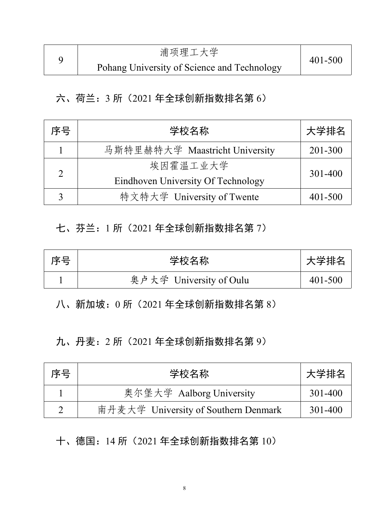| 浦项理工大学                                      |             |  |
|---------------------------------------------|-------------|--|
| Pohang University of Science and Technology | $401 - 500$ |  |

#### 六、荷兰:3 所(2021 年全球创新指数排名第 6)

| 序号 | 学校名称                               | 大学排名    |
|----|------------------------------------|---------|
|    | 马斯特里赫特大学 Maastricht University     | 201-300 |
|    | 埃因霍温工业大学                           |         |
|    | Eindhoven University Of Technology | 301-400 |
|    | 特文特大学 University of Twente         | 401-500 |

#### 七、芬兰:1 所(2021 年全球创新指数排名第 7)

| 序문<br><u>.</u> | ・んっ エト<br>$+$ $+$<br>白炒<br>ᄉ                                                 | 学排名     |
|----------------|------------------------------------------------------------------------------|---------|
|                | $\cdots$<br>$-  \cdot$<br>তিয়া<br>Jniversity of Oulu<br>$\overline{F}$<br>∽ | 401-500 |

八、新加坡:0 所(2021 年全球创新指数排名第 8)

九、丹麦:2 所(2021 年全球创新指数排名第 9)

| 序号 | 学校名称                                 | 大学排名    |
|----|--------------------------------------|---------|
|    | 奥尔堡大学 Aalborg University             | 301-400 |
| ∼  | 南丹麦大学 University of Southern Denmark | 301-400 |

十、德国:14 所(2021 年全球创新指数排名第 10)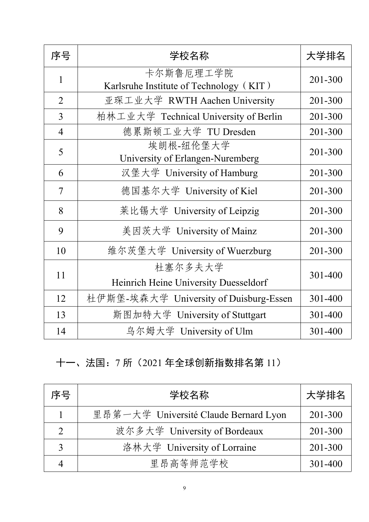| 序号             | 学校名称                                                 | 大学排名        |
|----------------|------------------------------------------------------|-------------|
|                | 卡尔斯鲁厄理工学院<br>Karlsruhe Institute of Technology (KIT) | 201-300     |
| $\overline{2}$ | 亚琛工业大学 RWTH Aachen University                        | 201-300     |
| 3              | 柏林工业大学 Technical University of Berlin                | 201-300     |
| $\overline{4}$ | 德累斯顿工业大学 TU Dresden                                  | 201-300     |
| 5              | 埃朗根-纽伦堡大学<br>University of Erlangen-Nuremberg        | 201-300     |
| 6              | 汉堡大学 University of Hamburg                           | $201 - 300$ |
| $\overline{7}$ | 德国基尔大学 University of Kiel                            | 201-300     |
| 8              | 莱比锡大学 University of Leipzig                          | $201 - 300$ |
| 9              | 美因茨大学 University of Mainz                            | 201-300     |
| 10             | 维尔茨堡大学 University of Wuerzburg                       | 201-300     |
| 11             | 杜塞尔多夫大学<br>Heinrich Heine University Duesseldorf     | 301-400     |
| 12             | 杜伊斯堡-埃森大学 University of Duisburg-Essen               | 301-400     |
| 13             | 斯图加特大学 University of Stuttgart                       | 301-400     |
| 14             | 乌尔姆大学 University of Ulm                              | 301-400     |

# 十一、法国:7 所(2021 年全球创新指数排名第 11)

| 序号 | 学校名称                                  | 大学排名    |
|----|---------------------------------------|---------|
|    | 里昂第一大学 Université Claude Bernard Lyon | 201-300 |
| ◠  | 波尔多大学 University of Bordeaux          | 201-300 |
|    | 洛林大学 University of Lorraine           | 201-300 |
|    | 里昂高等师范学校                              | 301-400 |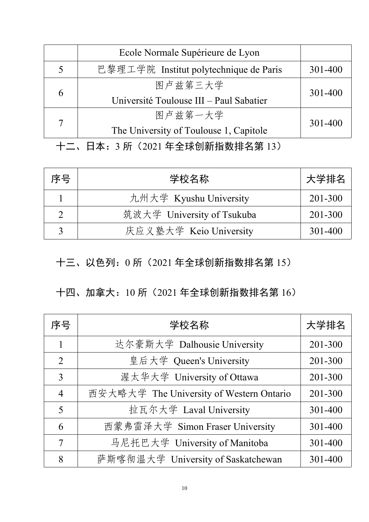|   | Ecole Normale Supérieure de Lyon        |         |
|---|-----------------------------------------|---------|
|   | 巴黎理工学院 Institut polytechnique de Paris  | 301-400 |
|   | 图卢兹第三大学                                 | 301-400 |
| h | Université Toulouse III - Paul Sabatier |         |
|   | 图卢兹第一大学                                 | 301-400 |
|   | The University of Toulouse 1, Capitole  |         |

十二、日本:3 所(2021 年全球创新指数排名第 13)

| 序号 | 学校名称                       | 大学排名    |
|----|----------------------------|---------|
|    | 九州大学 Kyushu University     | 201-300 |
|    | 筑波大学 University of Tsukuba | 201-300 |
|    | 庆应义塾大学 Keio University     | 301-400 |

十三、以色列:0 所(2021 年全球创新指数排名第 15)

### 十四、加拿大:10 所(2021 年全球创新指数排名第 16)

| 序号             | 学校名称                                     | 大学排名    |
|----------------|------------------------------------------|---------|
|                | 达尔豪斯大学 Dalhousie University              | 201-300 |
| $\overline{2}$ | 皇后大学 Queen's University                  | 201-300 |
| 3              | 渥太华大学 University of Ottawa               | 201-300 |
| $\overline{4}$ | 西安大略大学 The University of Western Ontario | 201-300 |
| 5              | 拉瓦尔大学 Laval University                   | 301-400 |
| 6              | 西蒙弗雷泽大学 Simon Fraser University          | 301-400 |
| $\tau$         | 马尼托巴大学 University of Manitoba            | 301-400 |
| 8              | 萨斯喀彻温大学 University of Saskatchewan       | 301-400 |